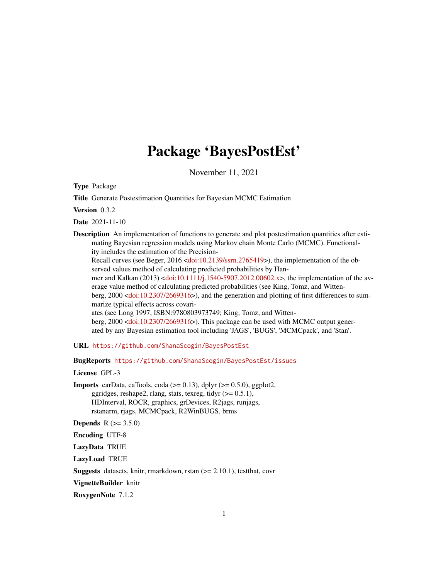# Package 'BayesPostEst'

November 11, 2021

<span id="page-0-0"></span>Type Package

Title Generate Postestimation Quantities for Bayesian MCMC Estimation

Version 0.3.2

Date 2021-11-10

Description An implementation of functions to generate and plot postestimation quantities after estimating Bayesian regression models using Markov chain Monte Carlo (MCMC). Functionality includes the estimation of the Precision-Recall curves (see Beger, 2016 [<doi:10.2139/ssrn.2765419>](https://doi.org/10.2139/ssrn.2765419)), the implementation of the ob-

served values method of calculating predicted probabilities by Hanmer and Kalkan (2013) [<doi:10.1111/j.1540-5907.2012.00602.x>](https://doi.org/10.1111/j.1540-5907.2012.00602.x), the implementation of the av-

erage value method of calculating predicted probabilities (see King, Tomz, and Witten-

berg, 2000 [<doi:10.2307/2669316>](https://doi.org/10.2307/2669316)), and the generation and plotting of first differences to summarize typical effects across covari-

ates (see Long 1997, ISBN:9780803973749; King, Tomz, and Wittenberg, 2000 [<doi:10.2307/2669316>](https://doi.org/10.2307/2669316)). This package can be used with MCMC output generated by any Bayesian estimation tool including 'JAGS', 'BUGS', 'MCMCpack', and 'Stan'.

URL <https://github.com/ShanaScogin/BayesPostEst>

BugReports <https://github.com/ShanaScogin/BayesPostEst/issues>

# License GPL-3

**Imports** carData, caTools, coda  $(>= 0.13)$ , dplyr  $(>= 0.5.0)$ , ggplot2, ggridges, reshape2, rlang, stats, texreg, tidyr  $(>= 0.5.1)$ , HDInterval, ROCR, graphics, grDevices, R2jags, runjags, rstanarm, rjags, MCMCpack, R2WinBUGS, brms

**Depends**  $R (= 3.5.0)$ 

Encoding UTF-8

LazyData TRUE

LazyLoad TRUE

**Suggests** datasets, knitr, rmarkdown, rstan  $(>= 2.10.1)$ , testthat, covr

VignetteBuilder knitr

RoxygenNote 7.1.2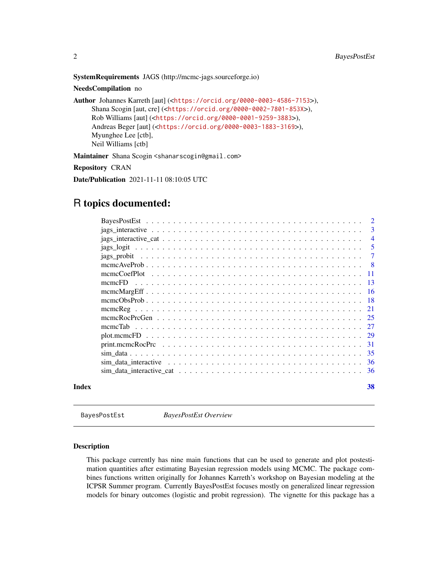<span id="page-1-0"></span>SystemRequirements JAGS (http://mcmc-jags.sourceforge.io)

NeedsCompilation no

Author Johannes Karreth [aut] (<<https://orcid.org/0000-0003-4586-7153>>), Shana Scogin [aut, cre] (<<https://orcid.org/0000-0002-7801-853X>>), Rob Williams [aut] (<<https://orcid.org/0000-0001-9259-3883>>), Andreas Beger [aut] (<<https://orcid.org/0000-0003-1883-3169>>), Myunghee Lee [ctb], Neil Williams [ctb]

Maintainer Shana Scogin <shanarscogin@gmail.com>

Repository CRAN

Date/Publication 2021-11-11 08:10:05 UTC

# R topics documented:

|       |        | $\overline{2}$ |
|-------|--------|----------------|
|       |        | 3              |
|       |        | $\overline{4}$ |
|       |        | -5             |
|       |        | $\tau$         |
|       |        | - 8            |
|       |        |                |
|       | mcmcFD |                |
|       |        |                |
|       |        |                |
|       |        |                |
|       |        |                |
|       |        | 27             |
|       |        |                |
|       |        | -31            |
|       |        |                |
|       |        |                |
|       |        |                |
| Index |        | 38             |

BayesPostEst *BayesPostEst Overview*

# Description

This package currently has nine main functions that can be used to generate and plot postestimation quantities after estimating Bayesian regression models using MCMC. The package combines functions written originally for Johannes Karreth's workshop on Bayesian modeling at the ICPSR Summer program. Currently BayesPostEst focuses mostly on generalized linear regression models for binary outcomes (logistic and probit regression). The vignette for this package has a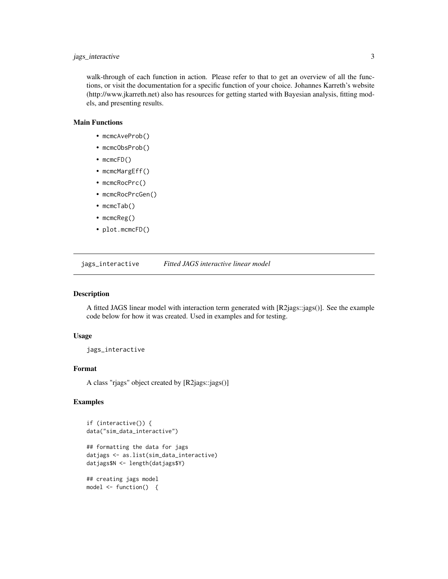# <span id="page-2-0"></span>jags\_interactive 3

walk-through of each function in action. Please refer to that to get an overview of all the functions, or visit the documentation for a specific function of your choice. Johannes Karreth's website (http://www.jkarreth.net) also has resources for getting started with Bayesian analysis, fitting models, and presenting results.

# Main Functions

- mcmcAveProb()
- mcmcObsProb()
- mcmcFD()
- mcmcMargEff()
- mcmcRocPrc()
- mcmcRocPrcGen()
- mcmcTab()
- mcmcReg()
- plot.mcmcFD()

jags\_interactive *Fitted JAGS interactive linear model*

# Description

A fitted JAGS linear model with interaction term generated with [R2jags::jags()]. See the example code below for how it was created. Used in examples and for testing.

#### Usage

jags\_interactive

#### Format

A class "rjags" object created by [R2jags::jags()]

```
if (interactive()) {
data("sim_data_interactive")
## formatting the data for jags
datjags <- as.list(sim_data_interactive)
datjags$N <- length(datjags$Y)
## creating jags model
```

```
model <- function() {
```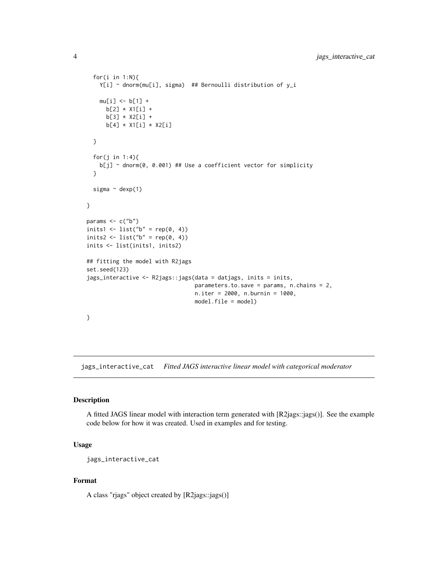```
for(i in 1:N){
   Y[i] ~ dnorm(mu[i], sigma) ## Bernoulli distribution of y_i
    mu[i] <- b[1] +
     b[2] * X1[i] +
     b[3] * X2[i] +
     b[4] * X1[i] * X2[i]}
  for(j in 1:4){
   b[j] ~ dnorm(0, 0.001) ## Use a coefficient vector for simplicity
  }
  sigma ~\sim dexp(1)
}
params \leq -c("b")inits1 <- list("b" = rep(0, 4))
inits2 <- list("b" = rep(0, 4))
inits <- list(inits1, inits2)
## fitting the model with R2jags
set.seed(123)
jags_interactive <- R2jags::jags(data = datjags, inits = inits,
                                 parameters.to.save = params, n.chains = 2,
                                 n.iter = 2000, n.burnin = 1000,
                                 model.file = model)
}
```
jags\_interactive\_cat *Fitted JAGS interactive linear model with categorical moderator*

#### Description

A fitted JAGS linear model with interaction term generated with [R2jags::jags()]. See the example code below for how it was created. Used in examples and for testing.

# Usage

```
jags_interactive_cat
```
#### Format

A class "rjags" object created by [R2jags::jags()]

<span id="page-3-0"></span>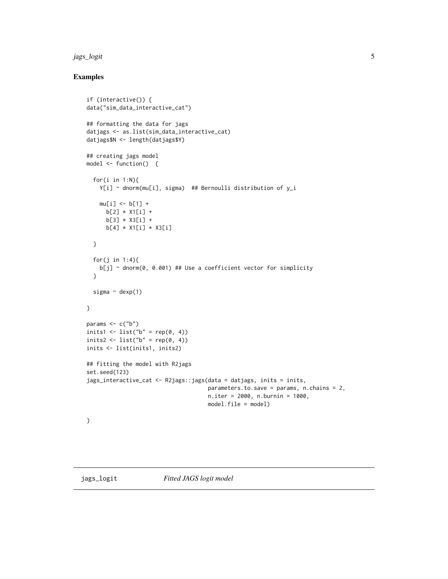#### <span id="page-4-0"></span>jags\_logit 5

```
if (interactive()) {
data("sim_data_interactive_cat")
## formatting the data for jags
datjags <- as.list(sim_data_interactive_cat)
datjags$N <- length(datjags$Y)
## creating jags model
model <- function() {
  for(i in 1:N){
   Y[i] ~ dnorm(mu[i], sigma) ## Bernoulli distribution of y_i
   mu[i] <- b[1] +
     b[2] * X1[i] +
      b[3] * X3[i] +
      b[4] * X1[i] * X3[i]}
  for(j in 1:4){
   b[j] ~ dnorm(0, 0.001) ## Use a coefficient vector for simplicity
  }
  sigma ~\sim dexp(1)
}
params \leq c("b")
inits1 <- list("b" = rep(0, 4))
inits2 <- list("b" = rep(0, 4))
inits <- list(inits1, inits2)
## fitting the model with R2jags
set.seed(123)
jags_interactive_cat <- R2jags::jags(data = datjags, inits = inits,
                                     parameters.to.save = params, n.chains = 2,
                                     n.iter = 2000, n.burnin = 1000,
                                     model.file = model)
}
```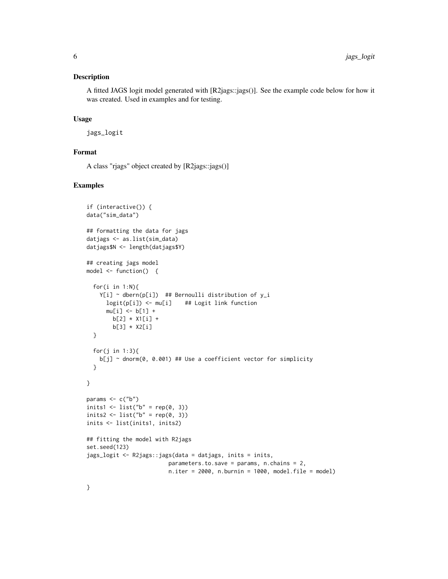#### Description

A fitted JAGS logit model generated with [R2jags::jags()]. See the example code below for how it was created. Used in examples and for testing.

#### Usage

jags\_logit

# Format

A class "rjags" object created by [R2jags::jags()]

```
if (interactive()) {
data("sim_data")
## formatting the data for jags
datjags <- as.list(sim_data)
datjags$N <- length(datjags$Y)
## creating jags model
model <- function() {
  for(i in 1:N){
   Y[i] ~ dbern(p[i]) ## Bernoulli distribution of y_i
      logit(p[i]) \leq mul[i] ## Logit link function
     mu[i] <- b[1] +
       b[2] * X1[i] +
       b[3] * X2[i]
  }
  for(j in 1:3){
   b[j] ~ dnorm(0, 0.001) ## Use a coefficient vector for simplicity
  }
}
params \leq -c("b")inits1 <- list("b" = rep(0, 3))
inits2 <- list("b" = rep(0, 3))
inits <- list(inits1, inits2)
## fitting the model with R2jags
set.seed(123)
jags_logit <- R2jags::jags(data = datjags, inits = inits,
                         parameters.to.save = params, n.chains = 2,
                         n.iter = 2000, n.burnin = 1000, model.file = model)
```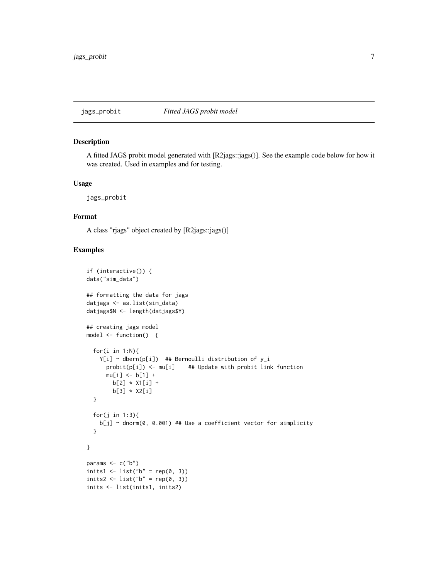<span id="page-6-0"></span>

### Description

A fitted JAGS probit model generated with [R2jags::jags()]. See the example code below for how it was created. Used in examples and for testing.

#### Usage

jags\_probit

# Format

A class "rjags" object created by [R2jags::jags()]

```
if (interactive()) {
data("sim_data")
## formatting the data for jags
datjags <- as.list(sim_data)
datjags$N <- length(datjags$Y)
## creating jags model
model <- function() {
  for(i in 1:N){
   Y[i] ~ dbern(p[i]) ## Bernoulli distribution of y_i
      probit(p[i]) <- mu[i] ## Update with probit link function
     mu[i] <- b[1] +
       b[2] * X1[i] +
       b[3] * X2[i]
  }
  for(j in 1:3){
   b[j] ~ dnorm(0, 0.001) ## Use a coefficient vector for simplicity
  }
}
params \leq -c("b")inits1 <- list("b" = rep(0, 3))
inits2 <- list("b" = rep(0, 3))
inits <- list(inits1, inits2)
```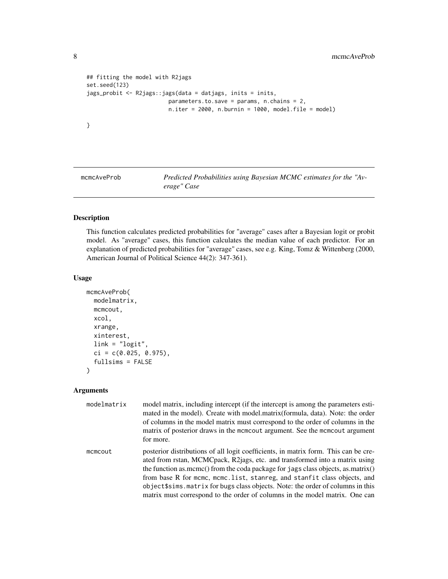```
## fitting the model with R2jags
set.seed(123)
jags_probit <- R2jags::jags(data = datjags, inits = inits,
                        parameters.to.save = params, n.chains = 2,
                        n.iter = 2000, n.burnin = 1000, model.file = model)}
```
mcmcAveProb *Predicted Probabilities using Bayesian MCMC estimates for the "Average" Case*

# Description

This function calculates predicted probabilities for "average" cases after a Bayesian logit or probit model. As "average" cases, this function calculates the median value of each predictor. For an explanation of predicted probabilities for "average" cases, see e.g. King, Tomz & Wittenberg (2000, American Journal of Political Science 44(2): 347-361).

# Usage

```
mcmcAveProb(
 modelmatrix,
 mcmcout,
 xcol,
 xrange,
  xinterest,
  link = "logit",
  ci = c(0.025, 0.975),
  fullsims = FALSE
)
```
# Arguments

| modelmatrix | model matrix, including intercept (if the intercept is among the parameters esti-<br>mated in the model). Create with model matrix (formula, data). Note: the order<br>of columns in the model matrix must correspond to the order of columns in the<br>matrix of posterior draws in the momeout argument. See the momeout argument<br>for more.                                                                                                                                                       |
|-------------|--------------------------------------------------------------------------------------------------------------------------------------------------------------------------------------------------------------------------------------------------------------------------------------------------------------------------------------------------------------------------------------------------------------------------------------------------------------------------------------------------------|
| mcmcout     | posterior distributions of all logit coefficients, in matrix form. This can be cre-<br>ated from rstan, MCMCpack, R2jags, etc. and transformed into a matrix using<br>the function as mcmc() from the coda package for jags class objects, as matrix()<br>from base R for mcmc, mcmc.list, stanreg, and stanfit class objects, and<br>object \$ simes matrix for bugs class objects. Note: the order of columns in this<br>matrix must correspond to the order of columns in the model matrix. One can |

<span id="page-7-0"></span>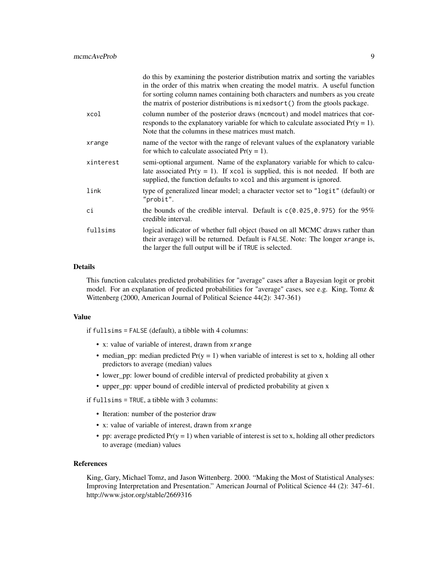| do this by examining the posterior distribution matrix and sorting the variables<br>in the order of this matrix when creating the model matrix. A useful function<br>for sorting column names containing both characters and numbers as you create<br>the matrix of posterior distributions is mixeds ort () from the grools package. |
|---------------------------------------------------------------------------------------------------------------------------------------------------------------------------------------------------------------------------------------------------------------------------------------------------------------------------------------|
| column number of the posterior draws (momeout) and model matrices that cor-<br>responds to the explanatory variable for which to calculate associated $Pr(y = 1)$ .<br>Note that the columns in these matrices must match.                                                                                                            |
| name of the vector with the range of relevant values of the explanatory variable<br>for which to calculate associated $Pr(y = 1)$ .                                                                                                                                                                                                   |
| semi-optional argument. Name of the explanatory variable for which to calcu-<br>late associated $Pr(y = 1)$ . If xcol is supplied, this is not needed. If both are<br>supplied, the function defaults to xcol and this argument is ignored.                                                                                           |
| type of generalized linear model; a character vector set to "logit" (default) or<br>"probit".                                                                                                                                                                                                                                         |
| the bounds of the credible interval. Default is $c(0.025, 0.975)$ for the 95%<br>credible interval.                                                                                                                                                                                                                                   |
| logical indicator of whether full object (based on all MCMC draws rather than<br>their average) will be returned. Default is FALSE. Note: The longer xrange is,<br>the larger the full output will be if TRUE is selected.                                                                                                            |
|                                                                                                                                                                                                                                                                                                                                       |

# Details

This function calculates predicted probabilities for "average" cases after a Bayesian logit or probit model. For an explanation of predicted probabilities for "average" cases, see e.g. King, Tomz & Wittenberg (2000, American Journal of Political Science 44(2): 347-361)

#### Value

if fullsims = FALSE (default), a tibble with 4 columns:

- x: value of variable of interest, drawn from xrange
- median\_pp: median predicted  $Pr(y = 1)$  when variable of interest is set to x, holding all other predictors to average (median) values
- lower\_pp: lower bound of credible interval of predicted probability at given x
- upper\_pp: upper bound of credible interval of predicted probability at given x

if fullsims = TRUE, a tibble with 3 columns:

- Iteration: number of the posterior draw
- x: value of variable of interest, drawn from xrange
- pp: average predicted  $Pr(y = 1)$  when variable of interest is set to x, holding all other predictors to average (median) values

# References

King, Gary, Michael Tomz, and Jason Wittenberg. 2000. "Making the Most of Statistical Analyses: Improving Interpretation and Presentation." American Journal of Political Science 44 (2): 347–61. http://www.jstor.org/stable/2669316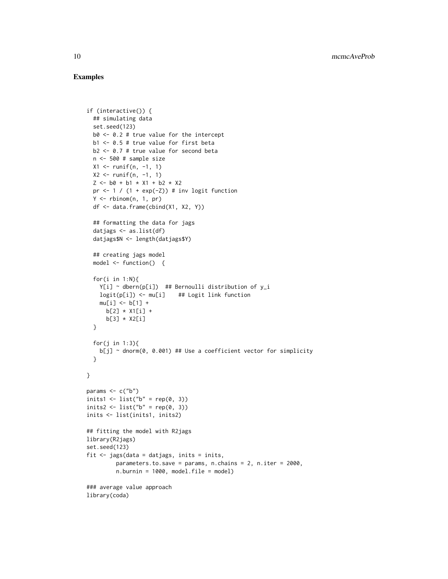```
if (interactive()) {
  ## simulating data
  set.seed(123)
  b0 <- 0.2 # true value for the intercept
  b1 <- 0.5 # true value for first beta
  b2 <- 0.7 # true value for second beta
  n <- 500 # sample size
  X1 <- runif(n, -1, 1)
  X2 \le runif(n, -1, 1)
  Z \le - b0 + b1 \times X1 + b2 \times X2pr \leftarrow 1 / (1 + exp(-Z)) # inv logit function
  Y \leq -rbinom(n, 1, pr)df <- data.frame(cbind(X1, X2, Y))
  ## formatting the data for jags
  datjags <- as.list(df)
  datjags$N <- length(datjags$Y)
  ## creating jags model
  model <- function() {
  for(i in 1:N){
   Y[i] ~ dbern(p[i]) ## Bernoulli distribution of y_i
   logit(p[i]) \leq mufi] ## Logit link function
   mu[i] <- b[1] +
     b[2] * X1[i] +b[3] * X2[i]
  }
  for(j in 1:3){
   b[j] ~ dnorm(0, 0.001) ## Use a coefficient vector for simplicity
  }
}
params \leq c("b")
inits1 <- list("b" = rep(0, 3))
inits2 <- list("b" = rep(0, 3))
inits <- list(inits1, inits2)
## fitting the model with R2jags
library(R2jags)
set.seed(123)
fit \le jags(data = datjags, inits = inits,
         parameters.to.save = params, n.chains = 2, n.iter = 2000,
         n.burnin = 1000, model.file = model)
### average value approach
library(coda)
```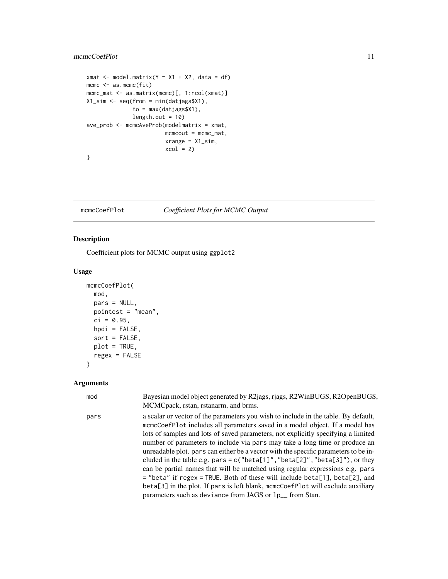# <span id="page-10-0"></span>mcmcCoefPlot 11

```
xmat \leq model.matrix(Y \sim X1 + X2, data = df)
mcmc <- as.mcmc(fit)
mcmc_mat <- as.matrix(mcmc)[, 1:ncol(xmat)]
X1_sim <- seq(from = min(datjags$X1),
              to = max(datjags$X1),
              length.out = 10ave_prob <- mcmcAveProb(modelmatrix = xmat,
                        mcmcout = mcmc_mat,
                        xrange = X1_sim,
                        xcol = 2}
```
# mcmcCoefPlot *Coefficient Plots for MCMC Output*

# Description

Coefficient plots for MCMC output using ggplot2

#### Usage

```
mcmcCoefPlot(
 mod,
 pars = NULL,
 pointest = "mean",
 ci = 0.95,hpdi = FALSE,
  sort = FALSE,
 plot = TRUE,
  regex = FALSE
)
```
# Arguments

| mod  | Bayesian model object generated by R2jags, rjags, R2WinBUGS, R2OpenBUGS,<br>MCMCpack, rstan, rstanarm, and brms.                                                                                                                                                                                                                                                                                                                                                                                                                                                                                                                                                                                                                                                                                                                        |
|------|-----------------------------------------------------------------------------------------------------------------------------------------------------------------------------------------------------------------------------------------------------------------------------------------------------------------------------------------------------------------------------------------------------------------------------------------------------------------------------------------------------------------------------------------------------------------------------------------------------------------------------------------------------------------------------------------------------------------------------------------------------------------------------------------------------------------------------------------|
| pars | a scalar or vector of the parameters you wish to include in the table. By default,<br>mcmcCoefPlot includes all parameters saved in a model object. If a model has<br>lots of samples and lots of saved parameters, not explicitly specifying a limited<br>number of parameters to include via pars may take a long time or produce an<br>unreadable plot. pars can either be a vector with the specific parameters to be in-<br>cluded in the table e.g. pars = $c("beta[1]", "beta[2]", "beta[3]"),$ or they<br>can be partial names that will be matched using regular expressions e.g. pars<br>= "beta" if regex = TRUE. Both of these will include beta[1], beta[2], and<br>beta[3] in the plot. If pars is left blank, mcmcCoefPlot will exclude auxiliary<br>parameters such as deviance from JAGS or 1p <sub>-</sub> from Stan. |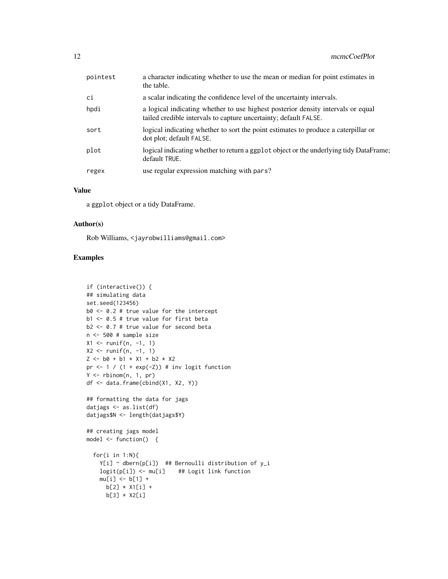| pointest | a character indicating whether to use the mean or median for point estimates in<br>the table.                                                        |
|----------|------------------------------------------------------------------------------------------------------------------------------------------------------|
| ci       | a scalar indicating the confidence level of the uncertainty intervals.                                                                               |
| hpdi     | a logical indicating whether to use highest posterior density intervals or equal<br>tailed credible intervals to capture uncertainty; default FALSE. |
| sort     | logical indicating whether to sort the point estimates to produce a caterpillar or<br>dot plot; default FALSE.                                       |
| plot     | logical indicating whether to return a ggplot object or the underlying tidy DataFrame;<br>default TRUE.                                              |
| regex    | use regular expression matching with pars?                                                                                                           |
|          |                                                                                                                                                      |

# Value

a ggplot object or a tidy DataFrame.

#### Author(s)

Rob Williams, <jayrobwilliams@gmail.com>

```
if (interactive()) {
## simulating data
set.seed(123456)
b0 <- 0.2 # true value for the intercept
b1 <- 0.5 # true value for first beta
b2 <- 0.7 # true value for second beta
n <- 500 # sample size
X1 <- runif(n, -1, 1)
X2 \le runif(n, -1, 1)
Z \le - b0 + b1 * X1 + b2 * X2
pr \leftarrow 1 / (1 + exp(-Z)) # inv logit function
Y <- rbinom(n, 1, pr)
df <- data.frame(cbind(X1, X2, Y))
## formatting the data for jags
datjags <- as.list(df)
datjags$N <- length(datjags$Y)
## creating jags model
model <- function() {
  for(i in 1:N){
    Y[i] ~ dbern(p[i]) ## Bernoulli distribution of y_i
    logit(p[i]) <- mu[i] ## Logit link function
    mu[i] <- b[1] +
     b[2] * X1[i] +
     b[3] * X2[i]
```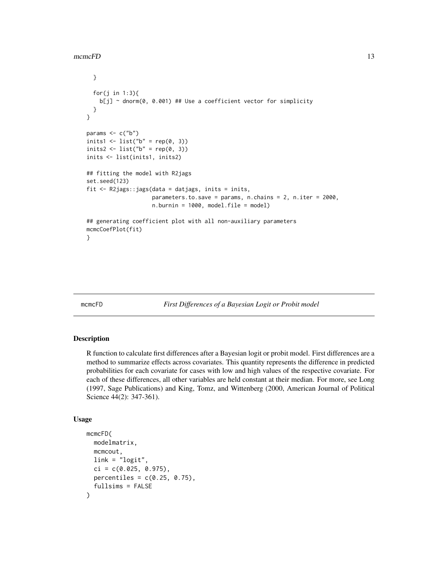<span id="page-12-0"></span> $m$ cmc $FD$  13

```
}
  for(j in 1:3){
   b[j] ~ dnorm(0, 0.001) ## Use a coefficient vector for simplicity
  }
}
params <- c("b")
inits1 <- list("b" = rep(0, 3))
inits2 <- list("b" = rep(0, 3))
inits <- list(inits1, inits2)
## fitting the model with R2jags
set.seed(123)
fit <- R2jags::jags(data = datjags, inits = inits,
                    parameters.to.save = params, n.chains = 2, n.iter = 2000,
                    n.burnin = 1000, model.file = model)
## generating coefficient plot with all non-auxiliary parameters
mcmcCoefPlot(fit)
}
```
<span id="page-12-1"></span>

mcmcFD *First Differences of a Bayesian Logit or Probit model*

#### Description

R function to calculate first differences after a Bayesian logit or probit model. First differences are a method to summarize effects across covariates. This quantity represents the difference in predicted probabilities for each covariate for cases with low and high values of the respective covariate. For each of these differences, all other variables are held constant at their median. For more, see Long (1997, Sage Publications) and King, Tomz, and Wittenberg (2000, American Journal of Political Science 44(2): 347-361).

# Usage

```
mcmcFD(
 modelmatrix,
 mcmcout,
 link = "logit",
  ci = c(0.025, 0.975),
  percentiles = c(0.25, 0.75),
  fullsims = FALSE
)
```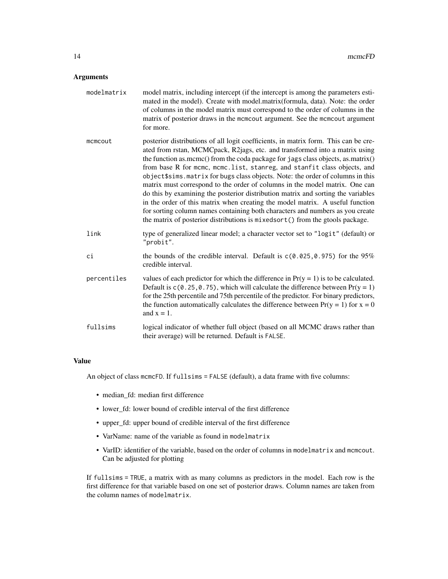# Arguments

| modelmatrix | model matrix, including intercept (if the intercept is among the parameters esti-<br>mated in the model). Create with model.matrix(formula, data). Note: the order<br>of columns in the model matrix must correspond to the order of columns in the<br>matrix of posterior draws in the mcmcout argument. See the mcmcout argument<br>for more.                                                                                                                                                                                                                                                                                                                                                                                                                                                                                             |
|-------------|---------------------------------------------------------------------------------------------------------------------------------------------------------------------------------------------------------------------------------------------------------------------------------------------------------------------------------------------------------------------------------------------------------------------------------------------------------------------------------------------------------------------------------------------------------------------------------------------------------------------------------------------------------------------------------------------------------------------------------------------------------------------------------------------------------------------------------------------|
| mcmcout     | posterior distributions of all logit coefficients, in matrix form. This can be cre-<br>ated from rstan, MCMCpack, R2jags, etc. and transformed into a matrix using<br>the function as.mcmc() from the coda package for jags class objects, as.matrix()<br>from base R for mcmc, mcmc.list, stanreg, and stanfit class objects, and<br>object\$sims.matrix for bugs class objects. Note: the order of columns in this<br>matrix must correspond to the order of columns in the model matrix. One can<br>do this by examining the posterior distribution matrix and sorting the variables<br>in the order of this matrix when creating the model matrix. A useful function<br>for sorting column names containing both characters and numbers as you create<br>the matrix of posterior distributions is mixedsort () from the gtools package. |
| link        | type of generalized linear model; a character vector set to "logit" (default) or<br>"probit".                                                                                                                                                                                                                                                                                                                                                                                                                                                                                                                                                                                                                                                                                                                                               |
| ci          | the bounds of the credible interval. Default is $c(0.025, 0.975)$ for the 95%<br>credible interval.                                                                                                                                                                                                                                                                                                                                                                                                                                                                                                                                                                                                                                                                                                                                         |
| percentiles | values of each predictor for which the difference in $Pr(y = 1)$ is to be calculated.<br>Default is $c(0.25, 0.75)$ , which will calculate the difference between $Pr(y = 1)$<br>for the 25th percentile and 75th percentile of the predictor. For binary predictors,<br>the function automatically calculates the difference between $Pr(y = 1)$ for $x = 0$<br>and $x = 1$ .                                                                                                                                                                                                                                                                                                                                                                                                                                                              |
| fullsims    | logical indicator of whether full object (based on all MCMC draws rather than<br>their average) will be returned. Default is FALSE.                                                                                                                                                                                                                                                                                                                                                                                                                                                                                                                                                                                                                                                                                                         |

#### Value

An object of class mcmcFD. If fullsims = FALSE (default), a data frame with five columns:

- median\_fd: median first difference
- lower\_fd: lower bound of credible interval of the first difference
- upper\_fd: upper bound of credible interval of the first difference
- VarName: name of the variable as found in modelmatrix
- VarID: identifier of the variable, based on the order of columns in modelmatrix and mcmcout. Can be adjusted for plotting

If fullsims = TRUE, a matrix with as many columns as predictors in the model. Each row is the first difference for that variable based on one set of posterior draws. Column names are taken from the column names of modelmatrix.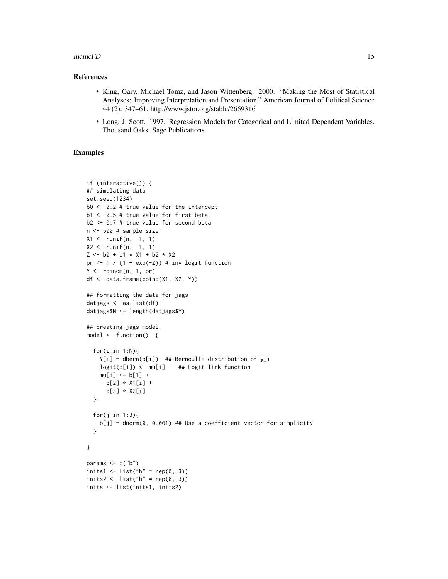#### mcmcFD 15

#### References

- King, Gary, Michael Tomz, and Jason Wittenberg. 2000. "Making the Most of Statistical Analyses: Improving Interpretation and Presentation." American Journal of Political Science 44 (2): 347–61. http://www.jstor.org/stable/2669316
- Long, J. Scott. 1997. Regression Models for Categorical and Limited Dependent Variables. Thousand Oaks: Sage Publications

```
if (interactive()) {
## simulating data
set.seed(1234)
b0 <- 0.2 # true value for the intercept
b1 <- 0.5 # true value for first beta
b2 <- 0.7 # true value for second beta
n <- 500 # sample size
X1 <- runif(n, -1, 1)
X2 \le runif(n, -1, 1)
Z \le - b0 + b1 \times X1 + b2 \times X2pr \leftarrow 1 / (1 + exp(-Z)) # inv logit function
Y \leq - rbinom(n, 1, pr)df <- data.frame(cbind(X1, X2, Y))
## formatting the data for jags
datjags <- as.list(df)
datjags$N <- length(datjags$Y)
## creating jags model
model <- function() {
  for(i in 1:N){
    Y[i] ~ dbern(p[i]) ## Bernoulli distribution of y_i
    logit(p[i]) <- mu[i] ## Logit link function
    mu[i] <- b[1] +
      b[2] * X1[i] +
      b[3] * X2[i]
  }
  for(j in 1:3){
    b[j] ~ dnorm(0, 0.001) ## Use a coefficient vector for simplicity
  }
}
params \leq -c("b")inits1 <- list("b" = rep(0, 3))
inits2 <- list("b" = rep(0, 3))
inits <- list(inits1, inits2)
```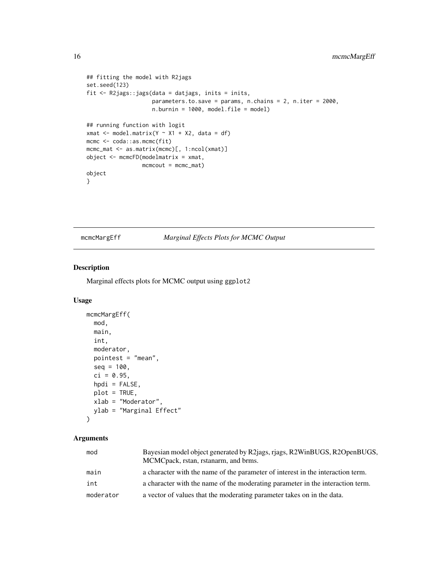```
## fitting the model with R2jags
set.seed(123)
fit <- R2jags::jags(data = datjags, inits = inits,
                    parameters.to.save = params, n.chains = 2, n.iter = 2000,
                    n.burnin = 1000, model.file = model)
## running function with logit
xmat \leq model.matrix(Y \sim X1 + X2, data = df)
mcmc <- coda::as.mcmc(fit)
mcmc_mat <- as.matrix(mcmc)[, 1:ncol(xmat)]
object <- mcmcFD(modelmatrix = xmat,
                 mcmcout = mcmc_mat)
object
}
```
# mcmcMargEff *Marginal Effects Plots for MCMC Output*

# Description

Marginal effects plots for MCMC output using ggplot2

# Usage

```
mcmcMargEff(
 mod,
 main,
  int,
  moderator,
 pointest = "mean",
  seq = 100,ci = 0.95,hpdi = FALSE,plot = TRUE,
 xlab = "Moderator",
 ylab = "Marginal Effect"
)
```
# Arguments

| mod       | Bayesian model object generated by R2jags, riags, R2WinBUGS, R2OpenBUGS,<br>MCMCpack, rstan, rstanarm, and brms. |
|-----------|------------------------------------------------------------------------------------------------------------------|
| main      | a character with the name of the parameter of interest in the interaction term.                                  |
| int       | a character with the name of the moderating parameter in the interaction term.                                   |
| moderator | a vector of values that the moderating parameter takes on in the data.                                           |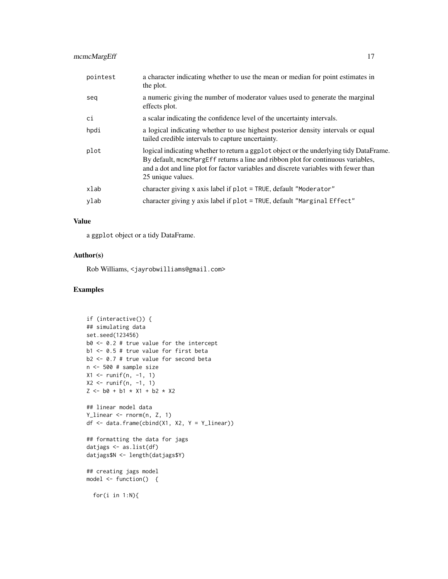| pointest | a character indicating whether to use the mean or median for point estimates in<br>the plot.                                                                                                                                                                                           |
|----------|----------------------------------------------------------------------------------------------------------------------------------------------------------------------------------------------------------------------------------------------------------------------------------------|
| seq      | a numeric giving the number of moderator values used to generate the marginal<br>effects plot.                                                                                                                                                                                         |
| ci       | a scalar indicating the confidence level of the uncertainty intervals.                                                                                                                                                                                                                 |
| hpdi     | a logical indicating whether to use highest posterior density intervals or equal<br>tailed credible intervals to capture uncertainty.                                                                                                                                                  |
| plot     | logical indicating whether to return a ggplot object or the underlying tidy DataFrame.<br>By default, mcmcMargEff returns a line and ribbon plot for continuous variables,<br>and a dot and line plot for factor variables and discrete variables with fewer than<br>25 unique values. |
| xlab     | character giving x axis label if plot = TRUE, default "Moderator"                                                                                                                                                                                                                      |
| ylab     | character giving y axis label if plot = TRUE, default "Marginal Effect"                                                                                                                                                                                                                |
|          |                                                                                                                                                                                                                                                                                        |

# Value

a ggplot object or a tidy DataFrame.

# Author(s)

Rob Williams, <jayrobwilliams@gmail.com>

```
if (interactive()) {
## simulating data
set.seed(123456)
b0 <- 0.2 # true value for the intercept
b1 <- 0.5 # true value for first beta
b2 <- 0.7 # true value for second beta
n <- 500 # sample size
X1 <- runif(n, -1, 1)
X2 \le runif(n, -1, 1)
Z \le - b0 + b1 * X1 + b2 * X2
## linear model data
Y_linear <- rnorm(n, Z, 1)
df <- data.frame(cbind(X1, X2, Y = Y_linear))
## formatting the data for jags
datjags <- as.list(df)
datjags$N <- length(datjags$Y)
## creating jags model
model <- function() {
  for(i in 1:N){
```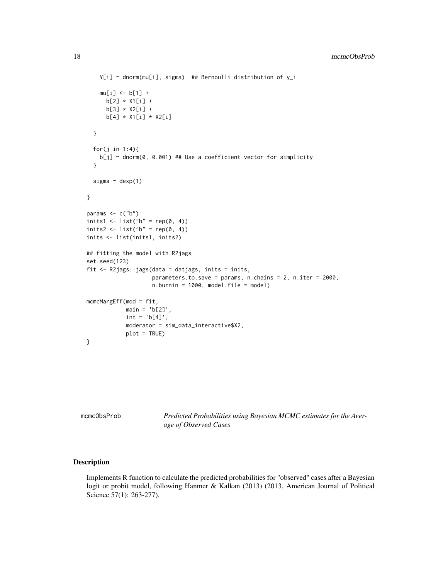```
Y[i] ~ dnorm(mu[i], sigma) ## Bernoulli distribution of y_i
    mu[i] <- b[1] +
     b[2] * X1[i] +
     b[3] * X2[i] +
     b[4] * X1[i] * X2[i]}
  for(j in 1:4){
   b[j] ~ dnorm(0, 0.001) ## Use a coefficient vector for simplicity
  }
  sigma ~\sim dexp(1)
}
params <- c("b")
inits1 <- list("b" = rep(0, 4))
inits2 <- list("b" = rep(0, 4))
inits <- list(inits1, inits2)
## fitting the model with R2jags
set.seed(123)
fit <- R2jags::jags(data = datjags, inits = inits,
                    parameters.to.save = params, n.chains = 2, n.iter = 2000,
                    n.burnin = 1000, model.file = model)
mcmcMargEff(mod = fit,
            main = 'b[2]',
            int = 'b[4]',
            moderator = sim_data_interactive$X2,
            plot = TRUE)
}
```
mcmcObsProb *Predicted Probabilities using Bayesian MCMC estimates for the Average of Observed Cases*

# Description

Implements R function to calculate the predicted probabilities for "observed" cases after a Bayesian logit or probit model, following Hanmer & Kalkan (2013) (2013, American Journal of Political Science 57(1): 263-277).

<span id="page-17-0"></span>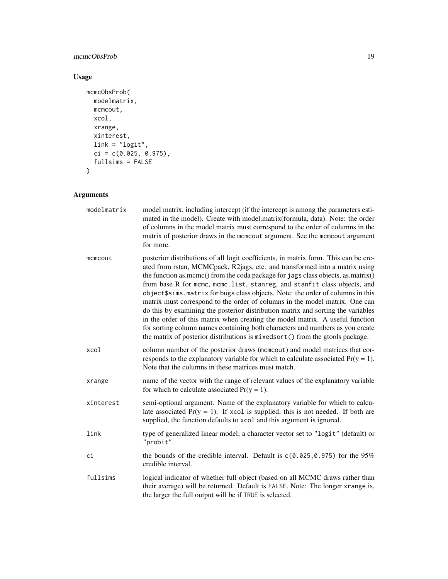# mcmcObsProb 19

# Usage

```
mcmcObsProb(
  modelmatrix,
  mcmcout,
  xcol,
  xrange,
  xinterest,
  link = "logit",ci = c(0.025, 0.975),
  fullsims = FALSE\mathcal{L}
```
# Arguments

| modelmatrix | model matrix, including intercept (if the intercept is among the parameters esti-<br>mated in the model). Create with model.matrix(formula, data). Note: the order<br>of columns in the model matrix must correspond to the order of columns in the<br>matrix of posterior draws in the mcmcout argument. See the mcmcout argument<br>for more.                                                                                                                                                                                                                                                                                                                                                                                                                                                                                             |
|-------------|---------------------------------------------------------------------------------------------------------------------------------------------------------------------------------------------------------------------------------------------------------------------------------------------------------------------------------------------------------------------------------------------------------------------------------------------------------------------------------------------------------------------------------------------------------------------------------------------------------------------------------------------------------------------------------------------------------------------------------------------------------------------------------------------------------------------------------------------|
| mcmcout     | posterior distributions of all logit coefficients, in matrix form. This can be cre-<br>ated from rstan, MCMCpack, R2jags, etc. and transformed into a matrix using<br>the function as.mcmc() from the coda package for jags class objects, as.matrix()<br>from base R for mcmc, mcmc.list, stanreg, and stanfit class objects, and<br>object\$sims.matrix for bugs class objects. Note: the order of columns in this<br>matrix must correspond to the order of columns in the model matrix. One can<br>do this by examining the posterior distribution matrix and sorting the variables<br>in the order of this matrix when creating the model matrix. A useful function<br>for sorting column names containing both characters and numbers as you create<br>the matrix of posterior distributions is mixedsort () from the gtools package. |
| xcol        | column number of the posterior draws (mcmcout) and model matrices that cor-<br>responds to the explanatory variable for which to calculate associated $Pr(y = 1)$ .<br>Note that the columns in these matrices must match.                                                                                                                                                                                                                                                                                                                                                                                                                                                                                                                                                                                                                  |
| xrange      | name of the vector with the range of relevant values of the explanatory variable<br>for which to calculate associated $Pr(y = 1)$ .                                                                                                                                                                                                                                                                                                                                                                                                                                                                                                                                                                                                                                                                                                         |
| xinterest   | semi-optional argument. Name of the explanatory variable for which to calcu-<br>late associated $Pr(y = 1)$ . If xcol is supplied, this is not needed. If both are<br>supplied, the function defaults to xcol and this argument is ignored.                                                                                                                                                                                                                                                                                                                                                                                                                                                                                                                                                                                                 |
| link        | type of generalized linear model; a character vector set to "logit" (default) or<br>"probit".                                                                                                                                                                                                                                                                                                                                                                                                                                                                                                                                                                                                                                                                                                                                               |
| сi          | the bounds of the credible interval. Default is $c(0.025, 0.975)$ for the 95%<br>credible interval.                                                                                                                                                                                                                                                                                                                                                                                                                                                                                                                                                                                                                                                                                                                                         |
| fullsims    | logical indicator of whether full object (based on all MCMC draws rather than<br>their average) will be returned. Default is FALSE. Note: The longer xrange is,<br>the larger the full output will be if TRUE is selected.                                                                                                                                                                                                                                                                                                                                                                                                                                                                                                                                                                                                                  |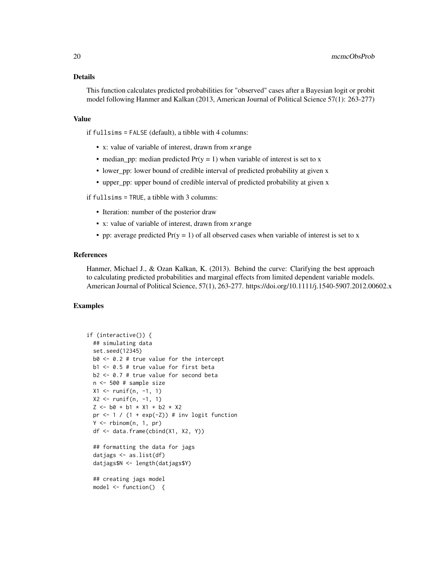# Details

This function calculates predicted probabilities for "observed" cases after a Bayesian logit or probit model following Hanmer and Kalkan (2013, American Journal of Political Science 57(1): 263-277)

#### Value

if fullsims = FALSE (default), a tibble with 4 columns:

- x: value of variable of interest, drawn from xrange
- median\_pp: median predicted  $Pr(y = 1)$  when variable of interest is set to x
- lower\_pp: lower bound of credible interval of predicted probability at given x
- upper\_pp: upper bound of credible interval of predicted probability at given x

if fullsims = TRUE, a tibble with 3 columns:

- Iteration: number of the posterior draw
- x: value of variable of interest, drawn from xrange
- pp: average predicted  $Pr(y = 1)$  of all observed cases when variable of interest is set to x

#### References

Hanmer, Michael J., & Ozan Kalkan, K. (2013). Behind the curve: Clarifying the best approach to calculating predicted probabilities and marginal effects from limited dependent variable models. American Journal of Political Science, 57(1), 263-277. https://doi.org/10.1111/j.1540-5907.2012.00602.x

```
if (interactive()) {
 ## simulating data
 set.seed(12345)
 b0 <- 0.2 # true value for the intercept
 b1 <- 0.5 # true value for first beta
 b2 <- 0.7 # true value for second beta
 n <- 500 # sample size
 X1 <- runif(n, -1, 1)
 X2 \le runif(n, -1, 1)
 Z \le - b0 + b1 \times X1 + b2 \times X2pr \leftarrow 1 / (1 + exp(-Z)) # inv logit function
 Y \le - rbinom(n, 1, pr)df <- data.frame(cbind(X1, X2, Y))
 ## formatting the data for jags
 datjags <- as.list(df)
 datjags$N <- length(datjags$Y)
 ## creating jags model
 model <- function() {
```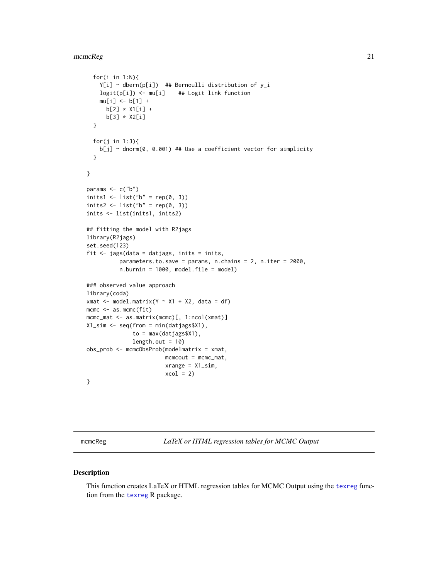#### <span id="page-20-0"></span>mcmcReg 21

```
for(i in 1:N){
    Y[i] ~ dbern(p[i]) ## Bernoulli distribution of y_i
    logit(p[i]) <- mu[i] ## Logit link function
   mu[i] <- b[1] +
     b[2] * X1[i] +
     b[3] * X2[i]
  }
  for(j in 1:3){
    b[j] ~ dnorm(0, 0.001) ## Use a coefficient vector for simplicity
  }
}
params \leq -c("b")inits1 <- list("b" = rep(0, 3))
inits2 <- list("b" = rep(0, 3))
inits <- list(inits1, inits2)
## fitting the model with R2jags
library(R2jags)
set.seed(123)
fit <- jags(data = datjags, inits = inits,
          parameters.to.save = params, n.chains = 2, n.iter = 2000,
          n.burnin = 1000, model.file = model)
### observed value approach
library(coda)
xmat \leq model.matrix(Y \sim X1 + X2, data = df)
mcmc <- as.mcmc(fit)
mcmc_mat <- as.matrix(mcmc)[, 1:ncol(xmat)]
X1_sim <- seq(from = min(datjags$X1),
              to = max(datjags$X1),
              length.out = 10obs_prob <- mcmcObsProb(modelmatrix = xmat,
                        mcmcout = mcmc_mat,
                        xrange = X1_sim,
                        xcol = 2}
```
mcmcReg *LaTeX or HTML regression tables for MCMC Output*

#### Description

This function creates LaTeX or HTML regression tables for MCMC Output using the [texreg](#page-0-0) function from the [texreg](#page-0-0) R package.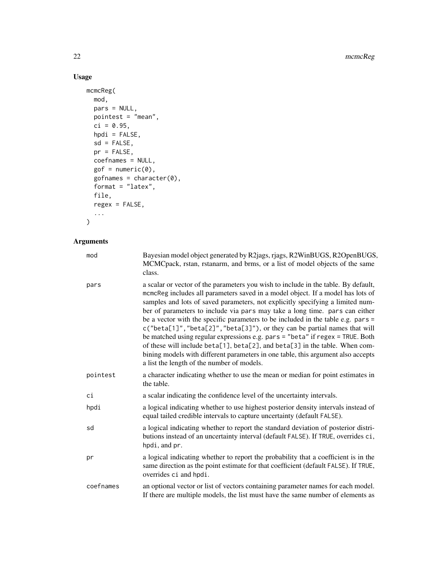# Usage

```
mcmcReg(
  mod,
  pars = NULL,
  pointest = "mean",
  ci = 0.95,hpdi = FALSE,sd = FALSE,pr = FALSE,coefnames = NULL,
  gof = numeric(0),
  gofnames = character(0),
  format = "latex",
  file,
  regex = FALSE,
  ...
\mathcal{L}
```
# Arguments

| mod       | Bayesian model object generated by R2jags, rjags, R2WinBUGS, R2OpenBUGS,<br>MCMCpack, rstan, rstanarm, and brms, or a list of model objects of the same<br>class.                                                                                                                                                                                                                                                                                                                                                                                                                                                                                                                                                                                                                                            |
|-----------|--------------------------------------------------------------------------------------------------------------------------------------------------------------------------------------------------------------------------------------------------------------------------------------------------------------------------------------------------------------------------------------------------------------------------------------------------------------------------------------------------------------------------------------------------------------------------------------------------------------------------------------------------------------------------------------------------------------------------------------------------------------------------------------------------------------|
| pars      | a scalar or vector of the parameters you wish to include in the table. By default,<br>mcmcReg includes all parameters saved in a model object. If a model has lots of<br>samples and lots of saved parameters, not explicitly specifying a limited num-<br>ber of parameters to include via pars may take a long time. pars can either<br>be a vector with the specific parameters to be included in the table e.g. pars $=$<br>c("beta[1]", "beta[2]", "beta[3]"), or they can be partial names that will<br>be matched using regular expressions e.g. pars = "beta" if regex = TRUE. Both<br>of these will include beta[1], beta[2], and beta[3] in the table. When com-<br>bining models with different parameters in one table, this argument also accepts<br>a list the length of the number of models. |
| pointest  | a character indicating whether to use the mean or median for point estimates in<br>the table.                                                                                                                                                                                                                                                                                                                                                                                                                                                                                                                                                                                                                                                                                                                |
| сi        | a scalar indicating the confidence level of the uncertainty intervals.                                                                                                                                                                                                                                                                                                                                                                                                                                                                                                                                                                                                                                                                                                                                       |
| hpdi      | a logical indicating whether to use highest posterior density intervals instead of<br>equal tailed credible intervals to capture uncertainty (default FALSE).                                                                                                                                                                                                                                                                                                                                                                                                                                                                                                                                                                                                                                                |
| sd        | a logical indicating whether to report the standard deviation of posterior distri-<br>butions instead of an uncertainty interval (default FALSE). If TRUE, overrides ci,<br>hpdi, and pr.                                                                                                                                                                                                                                                                                                                                                                                                                                                                                                                                                                                                                    |
| pr        | a logical indicating whether to report the probability that a coefficient is in the<br>same direction as the point estimate for that coefficient (default FALSE). If TRUE,<br>overrides ci and hpdi.                                                                                                                                                                                                                                                                                                                                                                                                                                                                                                                                                                                                         |
| coefnames | an optional vector or list of vectors containing parameter names for each model.<br>If there are multiple models, the list must have the same number of elements as                                                                                                                                                                                                                                                                                                                                                                                                                                                                                                                                                                                                                                          |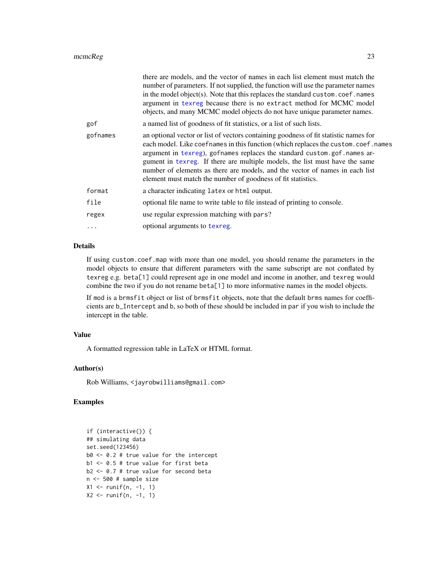<span id="page-22-0"></span>

|          | there are models, and the vector of names in each list element must match the<br>number of parameters. If not supplied, the function will use the parameter names<br>in the model object(s). Note that this replaces the standard custom.coef.names<br>argument in texreg because there is no extract method for MCMC model<br>objects, and many MCMC model objects do not have unique parameter names.                                                                              |
|----------|--------------------------------------------------------------------------------------------------------------------------------------------------------------------------------------------------------------------------------------------------------------------------------------------------------------------------------------------------------------------------------------------------------------------------------------------------------------------------------------|
| gof      | a named list of goodness of fit statistics, or a list of such lists.                                                                                                                                                                                                                                                                                                                                                                                                                 |
| gofnames | an optional vector or list of vectors containing goodness of fit statistic names for<br>each model. Like coefnames in this function (which replaces the custom.coef.names<br>argument in texreg), gofnames replaces the standard custom.gof.names ar-<br>gument in texneg. If there are multiple models, the list must have the same<br>number of elements as there are models, and the vector of names in each list<br>element must match the number of goodness of fit statistics. |
| format   | a character indicating latex or html output.                                                                                                                                                                                                                                                                                                                                                                                                                                         |
| file     | optional file name to write table to file instead of printing to console.                                                                                                                                                                                                                                                                                                                                                                                                            |
| regex    | use regular expression matching with pars?                                                                                                                                                                                                                                                                                                                                                                                                                                           |
| $\cdots$ | optional arguments to texneg.                                                                                                                                                                                                                                                                                                                                                                                                                                                        |
|          |                                                                                                                                                                                                                                                                                                                                                                                                                                                                                      |

# Details

If using custom.coef.map with more than one model, you should rename the parameters in the model objects to ensure that different parameters with the same subscript are not conflated by texreg e.g. beta[1] could represent age in one model and income in another, and texreg would combine the two if you do not rename beta[1] to more informative names in the model objects.

If mod is a brmsfit object or list of brmsfit objects, note that the default brms names for coefficients are b\_Intercept and b, so both of these should be included in par if you wish to include the intercept in the table.

# Value

A formatted regression table in LaTeX or HTML format.

#### Author(s)

Rob Williams, <jayrobwilliams@gmail.com>

```
if (interactive()) {
## simulating data
set.seed(123456)
b0 <- 0.2 # true value for the intercept
b1 <- 0.5 # true value for first beta
b2 <- 0.7 # true value for second beta
n <- 500 # sample size
X1 <- runif(n, -1, 1)
X2 \le runif(n, -1, 1)
```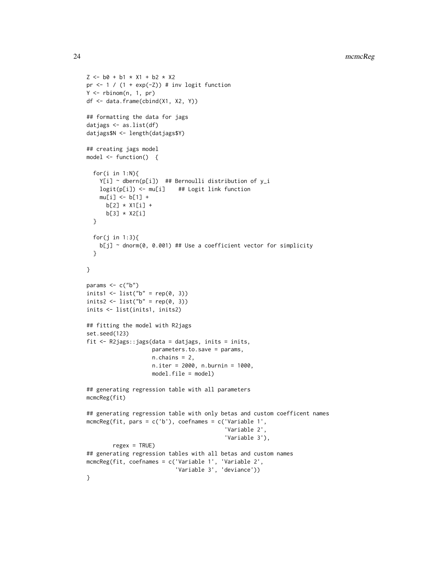```
Z \le - b0 + b1 \times X1 + b2 \times X2pr \leftarrow 1 / (1 + exp(-Z)) # inv logit function
Y <- rbinom(n, 1, pr)
df <- data.frame(cbind(X1, X2, Y))
## formatting the data for jags
datjags <- as.list(df)
datjags$N <- length(datjags$Y)
## creating jags model
model <- function() {
  for(i in 1:N){
   Y[i] ~ dbern(p[i]) ## Bernoulli distribution of y_i
   logit(p[i]) <- mu[i] ## Logit link function
   mu[i] <- b[1] +
     b[2] * X1[i] +
      b[3] * X2[i]
  }
  for(j in 1:3){
   b[j] ~ dnorm(0, 0.001) ## Use a coefficient vector for simplicity
  }
}
params \leq c("b")
inits1 <- list("b" = rep(0, 3))
inits2 <- list("b" = rep(0, 3))
inits <- list(inits1, inits2)
## fitting the model with R2jags
set.seed(123)
fit <- R2jags::jags(data = datjags, inits = inits,
                    parameters.to.save = params,
                    n.chains = 2,
                    n.iter = 2000, n.burnin = 1000,
                    model.file = model)
## generating regression table with all parameters
mcmcReg(fit)
## generating regression table with only betas and custom coefficent names
mcmcReg(fit, pars = c('b'), coefnames = c('Variable 1',
                                           'Variable 2',
                                           'Variable 3'),
        regex = TRUE)
## generating regression tables with all betas and custom names
mcmcReg(fit, coefnames = c('Variable 1', 'Variable 2',
                            'Variable 3', 'deviance'))
}
```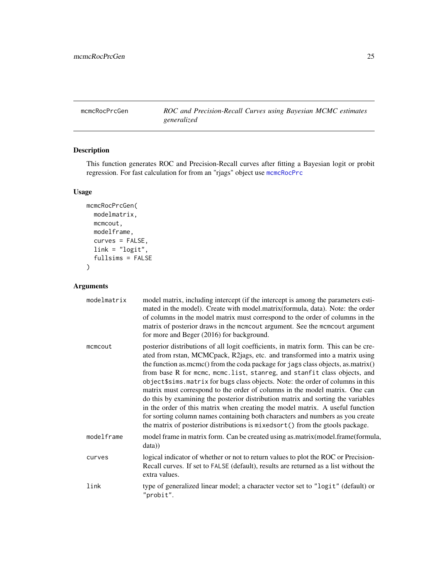<span id="page-24-0"></span>mcmcRocPrcGen *ROC and Precision-Recall Curves using Bayesian MCMC estimates generalized*

# Description

This function generates ROC and Precision-Recall curves after fitting a Bayesian logit or probit regression. For fast calculation for from an "rjags" object use [mcmcRocPrc](#page-30-1)

# Usage

```
mcmcRocPrcGen(
  modelmatrix,
  mcmcout,
  modelframe,
  curves = FALSE,
  link = "logit",
  fullsims = FALSE
\mathcal{E}
```
# Arguments

| modelmatrix | model matrix, including intercept (if the intercept is among the parameters esti-<br>mated in the model). Create with model.matrix(formula, data). Note: the order<br>of columns in the model matrix must correspond to the order of columns in the<br>matrix of posterior draws in the mcmcout argument. See the mcmcout argument<br>for more and Beger (2016) for background.                                                                                                                                                                                                                                                                                                                                                                                                                                                                   |
|-------------|---------------------------------------------------------------------------------------------------------------------------------------------------------------------------------------------------------------------------------------------------------------------------------------------------------------------------------------------------------------------------------------------------------------------------------------------------------------------------------------------------------------------------------------------------------------------------------------------------------------------------------------------------------------------------------------------------------------------------------------------------------------------------------------------------------------------------------------------------|
| mcmcout     | posterior distributions of all logit coefficients, in matrix form. This can be cre-<br>ated from rstan, MCMCpack, R2jags, etc. and transformed into a matrix using<br>the function as mcmc $()$ from the coda package for jags class objects, as matrix $()$<br>from base R for mcmc, mcmc.list, stanreg, and stanfit class objects, and<br>object\$sims.matrix for bugs class objects. Note: the order of columns in this<br>matrix must correspond to the order of columns in the model matrix. One can<br>do this by examining the posterior distribution matrix and sorting the variables<br>in the order of this matrix when creating the model matrix. A useful function<br>for sorting column names containing both characters and numbers as you create<br>the matrix of posterior distributions is mixedsort () from the gtools package. |
| modelframe  | model frame in matrix form. Can be created using as.matrix(model.frame(formula,<br>data)                                                                                                                                                                                                                                                                                                                                                                                                                                                                                                                                                                                                                                                                                                                                                          |
| curves      | logical indicator of whether or not to return values to plot the ROC or Precision-<br>Recall curves. If set to FALSE (default), results are returned as a list without the<br>extra values.                                                                                                                                                                                                                                                                                                                                                                                                                                                                                                                                                                                                                                                       |
| link        | type of generalized linear model; a character vector set to "logit" (default) or<br>"probit".                                                                                                                                                                                                                                                                                                                                                                                                                                                                                                                                                                                                                                                                                                                                                     |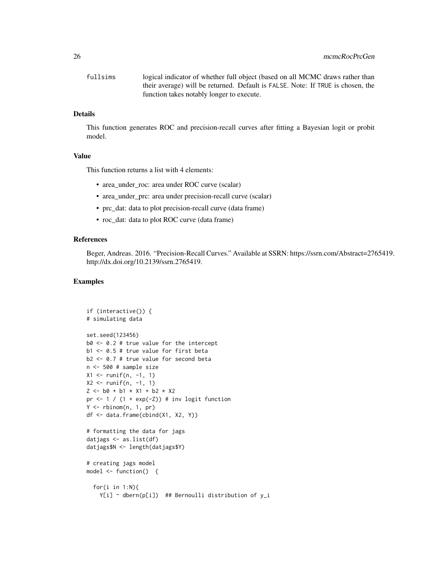| fullsims | logical indicator of whether full object (based on all MCMC draws rather than   |
|----------|---------------------------------------------------------------------------------|
|          | their average) will be returned. Default is FALSE. Note: If TRUE is chosen, the |
|          | function takes notably longer to execute.                                       |

# Details

This function generates ROC and precision-recall curves after fitting a Bayesian logit or probit model.

#### Value

This function returns a list with 4 elements:

- area\_under\_roc: area under ROC curve (scalar)
- area\_under\_prc: area under precision-recall curve (scalar)
- prc\_dat: data to plot precision-recall curve (data frame)
- roc\_dat: data to plot ROC curve (data frame)

#### References

Beger, Andreas. 2016. "Precision-Recall Curves." Available at SSRN: https://ssrn.com/Abstract=2765419. http://dx.doi.org/10.2139/ssrn.2765419.

```
if (interactive()) {
# simulating data
set.seed(123456)
b0 \le -0.2 # true value for the intercept
b1 <- 0.5 # true value for first beta
b2 <- 0.7 # true value for second beta
n <- 500 # sample size
X1 <- runif(n, -1, 1)
X2 \le runif(n, -1, 1)
Z \le - b0 + b1 \times X1 + b2 \times X2pr \leftarrow 1 / (1 + exp(-Z)) # inv logit function
Y \le - rbinom(n, 1, pr)df \leftarrow data frame(cbind(X1, X2, Y))# formatting the data for jags
datjags <- as.list(df)
datjags$N <- length(datjags$Y)
# creating jags model
model <- function() {
  for(i in 1:N){
    Y[i] ~ dbern(p[i]) ## Bernoulli distribution of y_i
```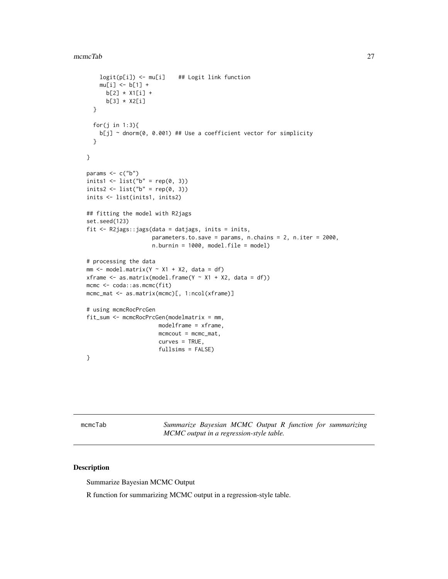#### <span id="page-26-0"></span>mcmcTab 27

```
logit(p[i]) <- mu[i] ## Logit link function
   mu[i] <- b[1] +
     b[2] * X1[i] +
      b[3] * X2[i]
  }
  for(j in 1:3){
   b[j] ~ dnorm(0, 0.001) ## Use a coefficient vector for simplicity
  }
}
params \leq -c("b")inits1 \leftarrow list("b" = rep(0, 3))inits2 <- list("b" = rep(0, 3))
inits <- list(inits1, inits2)
## fitting the model with R2jags
set.seed(123)
fit <- R2jags::jags(data = datjags, inits = inits,
                    parameters.to.save = params, n.chains = 2, n.iter = 2000,
                    n.burnin = 1000, model.file = model)
# processing the data
mm \le model.matrix(Y \sim X1 + X2, data = df)
xframe \leq as.matrix(model.frame(Y \sim X1 + X2, data = df))
mcmc <- coda::as.mcmc(fit)
mcmc_mat <- as.matrix(mcmc)[, 1:ncol(xframe)]
# using mcmcRocPrcGen
fit_sum <- mcmcRocPrcGen(modelmatrix = mm,
                      modelframe = xframe,
                      mcmcout = mcmc_mat,
                      curves = TRUE,
                      fullsims = FALSE)
}
```
mcmcTab *Summarize Bayesian MCMC Output R function for summarizing MCMC output in a regression-style table.*

#### Description

Summarize Bayesian MCMC Output

R function for summarizing MCMC output in a regression-style table.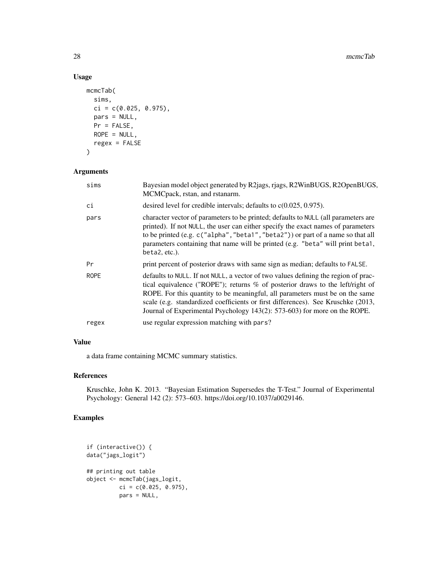# Usage

```
mcmcTab(
  sims,
  ci = c(0.025, 0.975),
  pars = NULL,
  Pr = FALSE,ROPE = NULL,regex = FALSE
\mathcal{L}
```
# Arguments

| sims        | Bayesian model object generated by R2jags, rjags, R2WinBUGS, R2OpenBUGS,<br>MCMCpack, rstan, and rstanarm.                                                                                                                                                                                                                                                                                                           |
|-------------|----------------------------------------------------------------------------------------------------------------------------------------------------------------------------------------------------------------------------------------------------------------------------------------------------------------------------------------------------------------------------------------------------------------------|
| сi          | desired level for credible intervals; defaults to $c(0.025, 0.975)$ .                                                                                                                                                                                                                                                                                                                                                |
| pars        | character vector of parameters to be printed; defaults to NULL (all parameters are<br>printed). If not NULL, the user can either specify the exact names of parameters<br>to be printed (e.g. c("alpha", "beta1", "beta2")) or part of a name so that all<br>parameters containing that name will be printed (e.g. "beta" will print beta1,<br>beta2, etc.).                                                         |
| Pr          | print percent of posterior draws with same sign as median; defaults to FALSE.                                                                                                                                                                                                                                                                                                                                        |
| <b>ROPE</b> | defaults to NULL. If not NULL, a vector of two values defining the region of prac-<br>tical equivalence ("ROPE"); returns % of posterior draws to the left/right of<br>ROPE. For this quantity to be meaningful, all parameters must be on the same<br>scale (e.g. standardized coefficients or first differences). See Kruschke (2013,<br>Journal of Experimental Psychology 143(2): 573-603) for more on the ROPE. |
| regex       | use regular expression matching with pars?                                                                                                                                                                                                                                                                                                                                                                           |

# Value

a data frame containing MCMC summary statistics.

# References

Kruschke, John K. 2013. "Bayesian Estimation Supersedes the T-Test." Journal of Experimental Psychology: General 142 (2): 573–603. https://doi.org/10.1037/a0029146.

```
if (interactive()) {
data("jags_logit")
## printing out table
object <- mcmcTab(jags_logit,
         ci = c(0.025, 0.975),
         pars = NULL,
```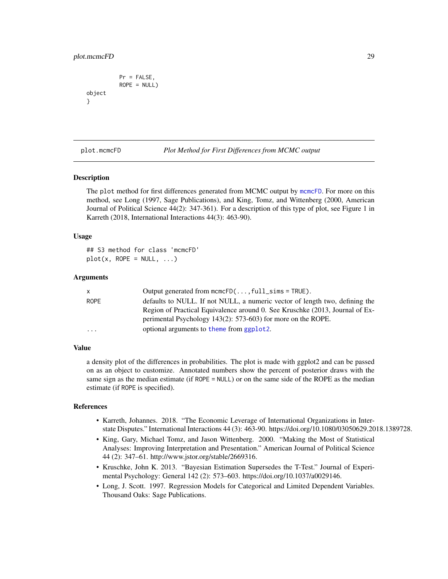# <span id="page-28-0"></span>plot.mcmcFD 29

```
Pr = FALSE,
         ROPE = NULLobject
}
```
#### plot.mcmcFD *Plot Method for First Differences from MCMC output*

#### Description

The plot method for first differences generated from MCMC output by [mcmcFD](#page-12-1). For more on this method, see Long (1997, Sage Publications), and King, Tomz, and Wittenberg (2000, American Journal of Political Science 44(2): 347-361). For a description of this type of plot, see Figure 1 in Karreth (2018, International Interactions 44(3): 463-90).

#### Usage

```
## S3 method for class 'mcmcFD'
plot(x, ROPE = NULL, ...)
```
#### **Arguments**

| $\mathsf{x}$ | Output generated from $mcmFD$ (, full_sims = TRUE).                          |
|--------------|------------------------------------------------------------------------------|
| <b>ROPE</b>  | defaults to NULL. If not NULL, a numeric vector of length two, defining the  |
|              | Region of Practical Equivalence around 0. See Kruschke (2013, Journal of Ex- |
|              | perimental Psychology $143(2)$ : 573-603) for more on the ROPE.              |
| $\cdots$     | optional arguments to theme from ggplot2.                                    |

#### Value

a density plot of the differences in probabilities. The plot is made with ggplot2 and can be passed on as an object to customize. Annotated numbers show the percent of posterior draws with the same sign as the median estimate (if ROPE = NULL) or on the same side of the ROPE as the median estimate (if ROPE is specified).

#### References

- Karreth, Johannes. 2018. "The Economic Leverage of International Organizations in Interstate Disputes." International Interactions 44 (3): 463-90. https://doi.org/10.1080/03050629.2018.1389728.
- King, Gary, Michael Tomz, and Jason Wittenberg. 2000. "Making the Most of Statistical Analyses: Improving Interpretation and Presentation." American Journal of Political Science 44 (2): 347–61. http://www.jstor.org/stable/2669316.
- Kruschke, John K. 2013. "Bayesian Estimation Supersedes the T-Test." Journal of Experimental Psychology: General 142 (2): 573–603. https://doi.org/10.1037/a0029146.
- Long, J. Scott. 1997. Regression Models for Categorical and Limited Dependent Variables. Thousand Oaks: Sage Publications.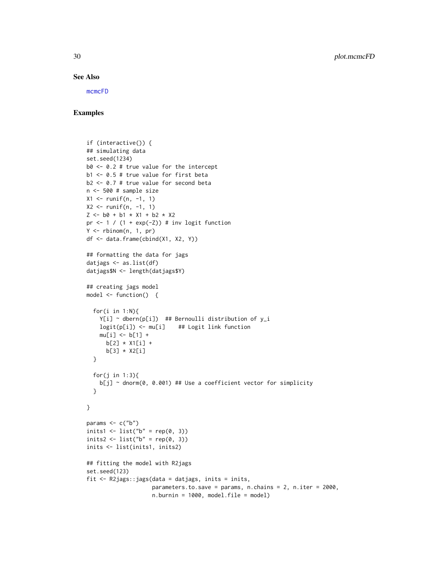#### See Also

[mcmcFD](#page-12-1)

```
if (interactive()) {
## simulating data
set.seed(1234)
b0 <- 0.2 # true value for the intercept
b1 <- 0.5 # true value for first beta
b2 <- 0.7 # true value for second beta
n <- 500 # sample size
X1 <- runif(n, -1, 1)
X2 <- runif(n, -1, 1)
Z \le - b0 + b1 \times X1 + b2 \times X2pr \leftarrow 1 / (1 + exp(-Z)) # inv logit function
Y \le - rbinom(n, 1, pr)df <- data.frame(cbind(X1, X2, Y))
## formatting the data for jags
datjags <- as.list(df)
datjags$N <- length(datjags$Y)
## creating jags model
model <- function() {
  for(i in 1:N){
    Y[i] ~ dbern(p[i]) ## Bernoulli distribution of y_i
    logit(p[i]) <- mu[i] ## Logit link function
    mu[i] <- b[1] +
      b[2] * X1[i] +
      b[3] * X2[i]
  }
  for(j in 1:3){
    b[j] ~ dnorm(0, 0.001) ## Use a coefficient vector for simplicity
  }
}
params \leq c("b")
inits1 <- list("b" = rep(0, 3))
inits2 <- list("b" = rep(0, 3))
inits <- list(inits1, inits2)
## fitting the model with R2jags
set.seed(123)
fit <- R2jags::jags(data = datjags, inits = inits,
                    parameters.to.save = params, n.chains = 2, n.iter = 2000,
                    n.burnin = 1000, model.file = model)
```
<span id="page-29-0"></span>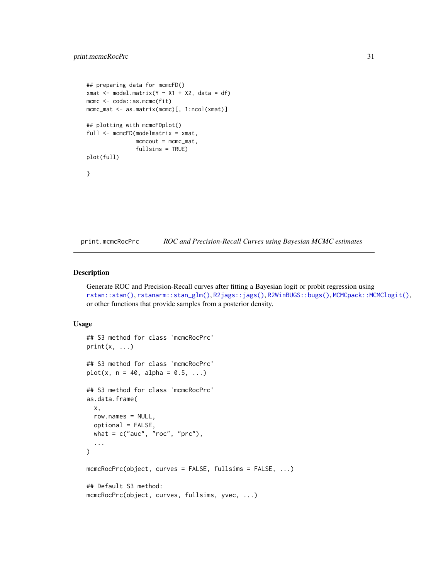# <span id="page-30-0"></span>print.mcmcRocPrc 31

```
## preparing data for mcmcFD()
xmat \leq model.matrix(Y \sim X1 + X2, data = df)
mcmc <- coda::as.mcmc(fit)
mcmc_mat <- as.matrix(mcmc)[, 1:ncol(xmat)]
## plotting with mcmcFDplot()
full <- mcmcFD(modelmatrix = xmat,
               mcmcout = mcmc_mat,
               fullsims = TRUE)
plot(full)
}
```
print.mcmcRocPrc *ROC and Precision-Recall Curves using Bayesian MCMC estimates*

#### <span id="page-30-1"></span>Description

Generate ROC and Precision-Recall curves after fitting a Bayesian logit or probit regression using [rstan::stan\(\)](#page-0-0), [rstanarm::stan\\_glm\(\)](#page-0-0), [R2jags::jags\(\)](#page-0-0), [R2WinBUGS::bugs\(\)](#page-0-0), [MCMCpack::MCMClogit\(\)](#page-0-0), or other functions that provide samples from a posterior density.

#### Usage

```
## S3 method for class 'mcmcRocPrc'
print(x, \ldots)## S3 method for class 'mcmcRocPrc'
plot(x, n = 40, alpha = 0.5, ...)## S3 method for class 'mcmcRocPrc'
as.data.frame(
 x,
  row.names = NULL,optional = FALSE,
 what = c("auc", "roc", "proc"),
  ...
\mathcal{L}mcmcRocPrc(object, curves = FALSE, fullsims = FALSE, ...)
## Default S3 method:
mcmcRocPrc(object, curves, fullsims, yvec, ...)
```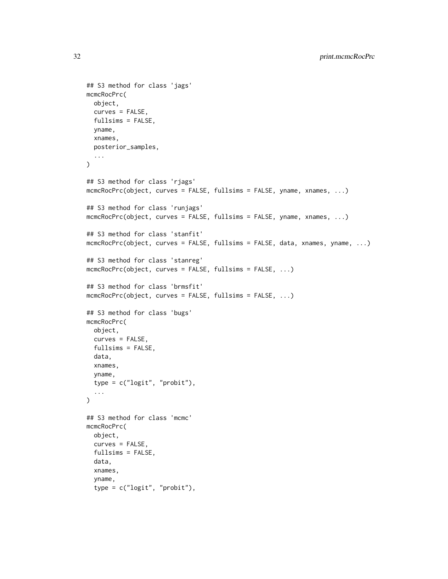```
## S3 method for class 'jags'
mcmcRocPrc(
 object,
  curves = FALSE,
  fullsims = FALSE,
 yname,
 xnames,
 posterior_samples,
  ...
\mathcal{L}## S3 method for class 'rjags'
mcmcRocPrc(object, curves = FALSE, fullsims = FALSE, yname, xnames, ...)
## S3 method for class 'runjags'
mcmcRocPrc(object, curves = FALSE, fullsims = FALSE, yname, xnames, ...)
## S3 method for class 'stanfit'
mcmcRocPrc(object, curves = FALSE, fullsims = FALSE, data, xnames, yname, ...)
## S3 method for class 'stanreg'
mcmcRocPrc(object, curves = FALSE, fullsims = FALSE, ...)
## S3 method for class 'brmsfit'
mcmcRocPrc(object, curves = FALSE, fullsims = FALSE, ...)
## S3 method for class 'bugs'
mcmcRocPrc(
 object,
  curves = FALSE,
  fullsims = FALSE,
  data,
 xnames,
  yname,
  type = c("logit", "probit"),...
\mathcal{L}## S3 method for class 'mcmc'
mcmcRocPrc(
 object,
  curves = FALSE,
  fullsims = FALSE,
  data,
  xnames,
  yname,
  type = c("logit", "probit"),
```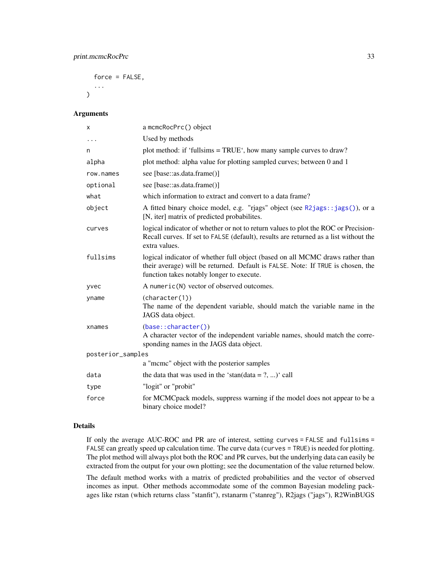# <span id="page-32-0"></span>print.mcmcRocPrc 33

force = FALSE, ...

 $\mathcal{L}$ 

# Arguments

| X                 | a mcmcRocPrc() object                                                                                                                                                                                         |  |
|-------------------|---------------------------------------------------------------------------------------------------------------------------------------------------------------------------------------------------------------|--|
| $\cdots$          | Used by methods                                                                                                                                                                                               |  |
| n                 | plot method: if 'fullsims = TRUE', how many sample curves to draw?                                                                                                                                            |  |
| alpha             | plot method: alpha value for plotting sampled curves; between 0 and 1                                                                                                                                         |  |
| row.names         | see [base::as.data.frame()]                                                                                                                                                                                   |  |
| optional          | see [base::as.data.frame()]                                                                                                                                                                                   |  |
| what              | which information to extract and convert to a data frame?                                                                                                                                                     |  |
| object            | A fitted binary choice model, e.g. "rjags" object (see R2jags::jags()), or a<br>[N, iter] matrix of predicted probabilites.                                                                                   |  |
| curves            | logical indicator of whether or not to return values to plot the ROC or Precision-<br>Recall curves. If set to FALSE (default), results are returned as a list without the<br>extra values.                   |  |
| fullsims          | logical indicator of whether full object (based on all MCMC draws rather than<br>their average) will be returned. Default is FALSE. Note: If TRUE is chosen, the<br>function takes notably longer to execute. |  |
| yvec              | A numeric(N) vector of observed outcomes.                                                                                                                                                                     |  |
| yname             | (character(1))<br>The name of the dependent variable, should match the variable name in the<br>JAGS data object.                                                                                              |  |
| xnames            | (base::character())<br>A character vector of the independent variable names, should match the corre-<br>sponding names in the JAGS data object.                                                               |  |
| posterior_samples |                                                                                                                                                                                                               |  |
|                   | a "mcmc" object with the posterior samples                                                                                                                                                                    |  |
| data              | the data that was used in the 'stan(data = $?, $ )' call                                                                                                                                                      |  |
| type              | "logit" or "probit"                                                                                                                                                                                           |  |
| force             | for MCMCpack models, suppress warning if the model does not appear to be a<br>binary choice model?                                                                                                            |  |

# Details

If only the average AUC-ROC and PR are of interest, setting curves = FALSE and fullsims = FALSE can greatly speed up calculation time. The curve data (curves = TRUE) is needed for plotting. The plot method will always plot both the ROC and PR curves, but the underlying data can easily be extracted from the output for your own plotting; see the documentation of the value returned below.

The default method works with a matrix of predicted probabilities and the vector of observed incomes as input. Other methods accommodate some of the common Bayesian modeling packages like rstan (which returns class "stanfit"), rstanarm ("stanreg"), R2jags ("jags"), R2WinBUGS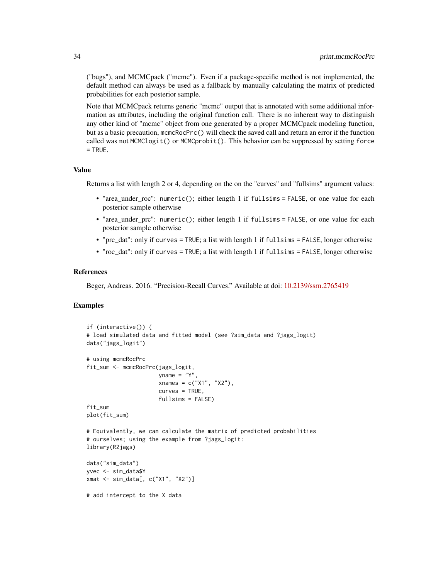("bugs"), and MCMCpack ("mcmc"). Even if a package-specific method is not implemented, the default method can always be used as a fallback by manually calculating the matrix of predicted probabilities for each posterior sample.

Note that MCMCpack returns generic "mcmc" output that is annotated with some additional information as attributes, including the original function call. There is no inherent way to distinguish any other kind of "mcmc" object from one generated by a proper MCMCpack modeling function, but as a basic precaution, mcmcRocPrc() will check the saved call and return an error if the function called was not MCMClogit() or MCMCprobit(). This behavior can be suppressed by setting force = TRUE.

#### Value

Returns a list with length 2 or 4, depending on the on the "curves" and "fullsims" argument values:

- "area\_under\_roc": numeric(); either length 1 if fullsims = FALSE, or one value for each posterior sample otherwise
- "area\_under\_prc": numeric(); either length 1 if fullsims = FALSE, or one value for each posterior sample otherwise
- "prc\_dat": only if curves = TRUE; a list with length 1 if fullsims = FALSE, longer otherwise
- "roc\_dat": only if curves = TRUE; a list with length 1 if fullsims = FALSE, longer otherwise

#### References

Beger, Andreas. 2016. "Precision-Recall Curves." Available at doi: [10.2139/ssrn.2765419](https://doi.org/10.2139/ssrn.2765419)

```
if (interactive()) {
# load simulated data and fitted model (see ?sim_data and ?jags_logit)
data("jags_logit")
# using mcmcRocPrc
fit_sum <- mcmcRocPrc(jags_logit,
                     yname = "Y",xnames = c("X1", "X2"),
                      curves = TRUE,
                      fullsims = FALSE)
fit_sum
plot(fit_sum)
# Equivalently, we can calculate the matrix of predicted probabilities
# ourselves; using the example from ?jags_logit:
library(R2jags)
data("sim_data")
yvec <- sim_data$Y
xmat <- sim_data[, c("X1", "X2")]
# add intercept to the X data
```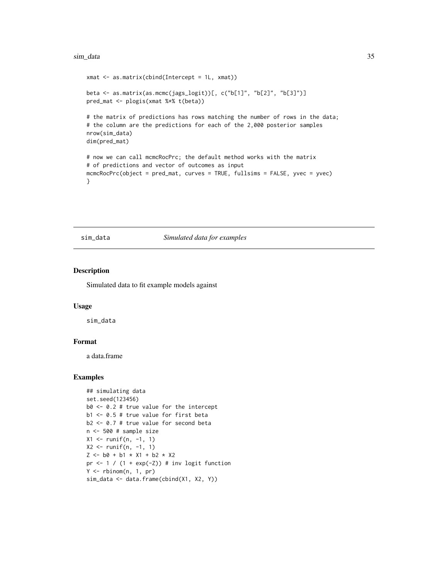#### <span id="page-34-0"></span>sim\_data 35

```
xmat <- as.matrix(cbind(Intercept = 1L, xmat))
beta <- as.matrix(as.mcmc(jags_logit))[, c("b[1]", "b[2]", "b[3]")]
pred_mat <- plogis(xmat %*% t(beta))
# the matrix of predictions has rows matching the number of rows in the data;
# the column are the predictions for each of the 2,000 posterior samples
nrow(sim_data)
dim(pred_mat)
# now we can call mcmcRocPrc; the default method works with the matrix
# of predictions and vector of outcomes as input
mcmcRocPrc(object = pred_mat, curves = TRUE, fullsims = FALSE, yvec = yvec)
}
```
#### sim\_data *Simulated data for examples*

# Description

Simulated data to fit example models against

#### Usage

sim\_data

#### Format

a data.frame

```
## simulating data
set.seed(123456)
b0 <- 0.2 # true value for the intercept
b1 <- 0.5 # true value for first beta
b2 <- 0.7 # true value for second beta
n <- 500 # sample size
X1 <- runif(n, -1, 1)
X2 \le runif(n, -1, 1)
Z \le - b0 + b1 \times X1 + b2 \times X2pr <-1 / (1 + \exp(-Z)) # inv logit function
Y \leftarrow \text{rbinom}(n, 1, pr)sim_data <- data.frame(cbind(X1, X2, Y))
```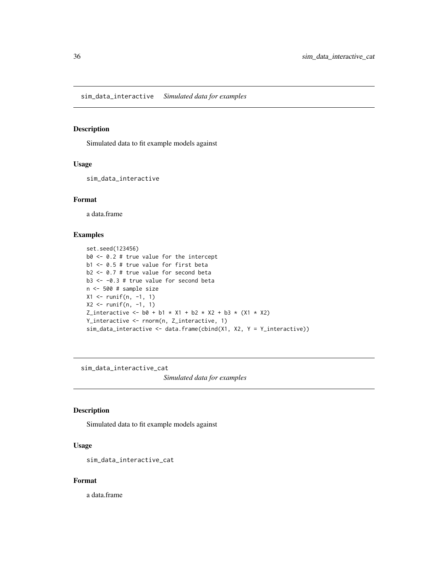<span id="page-35-0"></span>sim\_data\_interactive *Simulated data for examples*

# Description

Simulated data to fit example models against

### Usage

sim\_data\_interactive

#### Format

a data.frame

#### Examples

```
set.seed(123456)
b0 <- 0.2 # true value for the intercept
b1 <- 0.5 # true value for first beta
b2 <- 0.7 # true value for second beta
b3 <- -0.3 # true value for second beta
n <- 500 # sample size
X1 <- runif(n, -1, 1)
X2 \leq runif(n, -1, 1)Z_interactive <- b0 + b1 \times X1 + b2 \times X2 + b3 \times (X1 \times X2)Y_interactive <- rnorm(n, Z_interactive, 1)
sim_data_interactive <- data.frame(cbind(X1, X2, Y = Y_interactive))
```
sim\_data\_interactive\_cat

*Simulated data for examples*

# Description

Simulated data to fit example models against

# Usage

sim\_data\_interactive\_cat

#### Format

a data.frame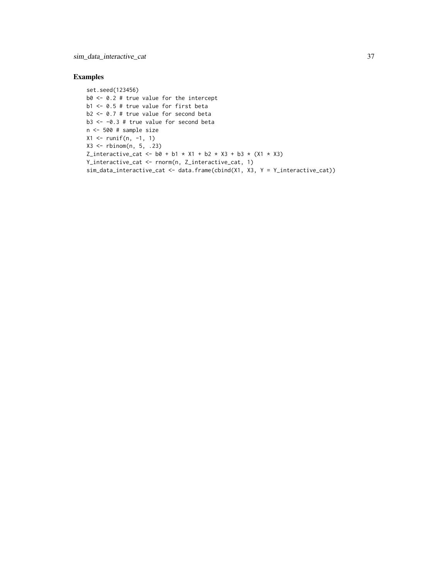```
set.seed(123456)
b0 <- 0.2 # true value for the intercept
b1 <- 0.5 # true value for first beta
b2 \le -0.7 # true value for second beta
b3 < -0.3 # true value for second beta
n <- 500 # sample size
X1 <- runif(n, -1, 1)
X3 \leq - rbinom(n, 5, .23)
Z_interactive_cat <- b0 + b1 \times X1 + b2 \times X3 + b3 \times (X1 \times X3)Y_interactive_cat <- rnorm(n, Z_interactive_cat, 1)
sim_data_interactive_cat <- data.frame(cbind(X1, X3, Y = Y_interactive_cat))
```